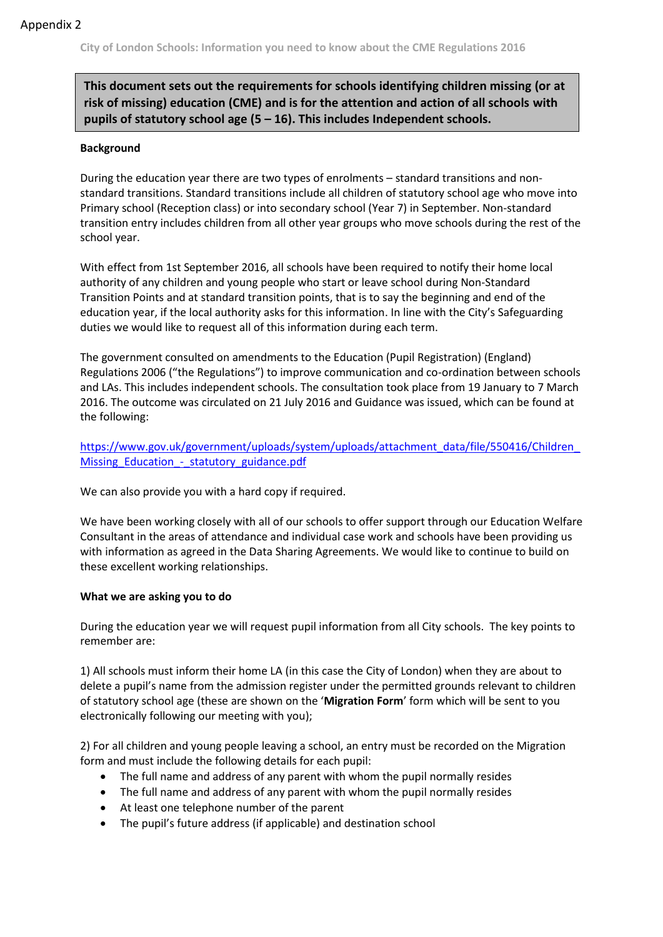**City of London Schools: Information you need to know about the CME Regulations 2016**

### **This document sets out the requirements for schools identifying children missing (or at risk of missing) education (CME) and is for the attention and action of all schools with pupils of statutory school age (5 – 16). This includes Independent schools.**

### **Background**

During the education year there are two types of enrolments – standard transitions and nonstandard transitions. Standard transitions include all children of statutory school age who move into Primary school (Reception class) or into secondary school (Year 7) in September. Non-standard transition entry includes children from all other year groups who move schools during the rest of the school year.

With effect from 1st September 2016, all schools have been required to notify their home local authority of any children and young people who start or leave school during Non-Standard Transition Points and at standard transition points, that is to say the beginning and end of the education year, if the local authority asks for this information. In line with the City's Safeguarding duties we would like to request all of this information during each term.

The government consulted on amendments to the Education (Pupil Registration) (England) Regulations 2006 ("the Regulations") to improve communication and co-ordination between schools and LAs. This includes independent schools. The consultation took place from 19 January to 7 March 2016. The outcome was circulated on 21 July 2016 and Guidance was issued, which can be found at the following:

[https://www.gov.uk/government/uploads/system/uploads/attachment\\_data/file/550416/Children\\_](https://www.gov.uk/government/uploads/system/uploads/attachment_data/file/550416/Children_Missing_Education_-_statutory_guidance.pdf) Missing Education - statutory guidance.pdf

We can also provide you with a hard copy if required.

We have been working closely with all of our schools to offer support through our Education Welfare Consultant in the areas of attendance and individual case work and schools have been providing us with information as agreed in the Data Sharing Agreements. We would like to continue to build on these excellent working relationships.

#### **What we are asking you to do**

During the education year we will request pupil information from all City schools. The key points to remember are:

1) All schools must inform their home LA (in this case the City of London) when they are about to delete a pupil's name from the admission register under the permitted grounds relevant to children of statutory school age (these are shown on the '**Migration Form**' form which will be sent to you electronically following our meeting with you);

2) For all children and young people leaving a school, an entry must be recorded on the Migration form and must include the following details for each pupil:

- The full name and address of any parent with whom the pupil normally resides
- The full name and address of any parent with whom the pupil normally resides
- At least one telephone number of the parent
- The pupil's future address (if applicable) and destination school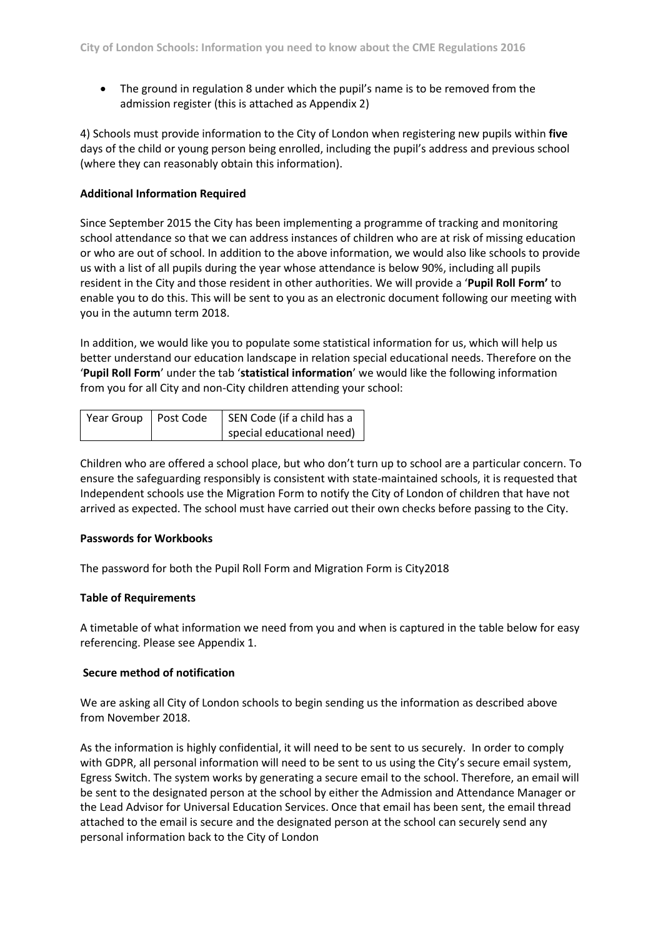• The ground in regulation 8 under which the pupil's name is to be removed from the admission register (this is attached as Appendix 2)

4) Schools must provide information to the City of London when registering new pupils within **five**  days of the child or young person being enrolled, including the pupil's address and previous school (where they can reasonably obtain this information).

#### **Additional Information Required**

Since September 2015 the City has been implementing a programme of tracking and monitoring school attendance so that we can address instances of children who are at risk of missing education or who are out of school. In addition to the above information, we would also like schools to provide us with a list of all pupils during the year whose attendance is below 90%, including all pupils resident in the City and those resident in other authorities. We will provide a '**Pupil Roll Form'** to enable you to do this. This will be sent to you as an electronic document following our meeting with you in the autumn term 2018.

In addition, we would like you to populate some statistical information for us, which will help us better understand our education landscape in relation special educational needs. Therefore on the '**Pupil Roll Form**' under the tab '**statistical information**' we would like the following information from you for all City and non-City children attending your school:

| Year Group   Post Code | SEN Code (if a child has a |  |
|------------------------|----------------------------|--|
|                        | special educational need)  |  |

Children who are offered a school place, but who don't turn up to school are a particular concern. To ensure the safeguarding responsibly is consistent with state-maintained schools, it is requested that Independent schools use the Migration Form to notify the City of London of children that have not arrived as expected. The school must have carried out their own checks before passing to the City.

#### **Passwords for Workbooks**

The password for both the Pupil Roll Form and Migration Form is City2018

#### **Table of Requirements**

A timetable of what information we need from you and when is captured in the table below for easy referencing. Please see Appendix 1.

#### **Secure method of notification**

We are asking all City of London schools to begin sending us the information as described above from November 2018.

As the information is highly confidential, it will need to be sent to us securely. In order to comply with GDPR, all personal information will need to be sent to us using the City's secure email system, Egress Switch. The system works by generating a secure email to the school. Therefore, an email will be sent to the designated person at the school by either the Admission and Attendance Manager or the Lead Advisor for Universal Education Services. Once that email has been sent, the email thread attached to the email is secure and the designated person at the school can securely send any personal information back to the City of London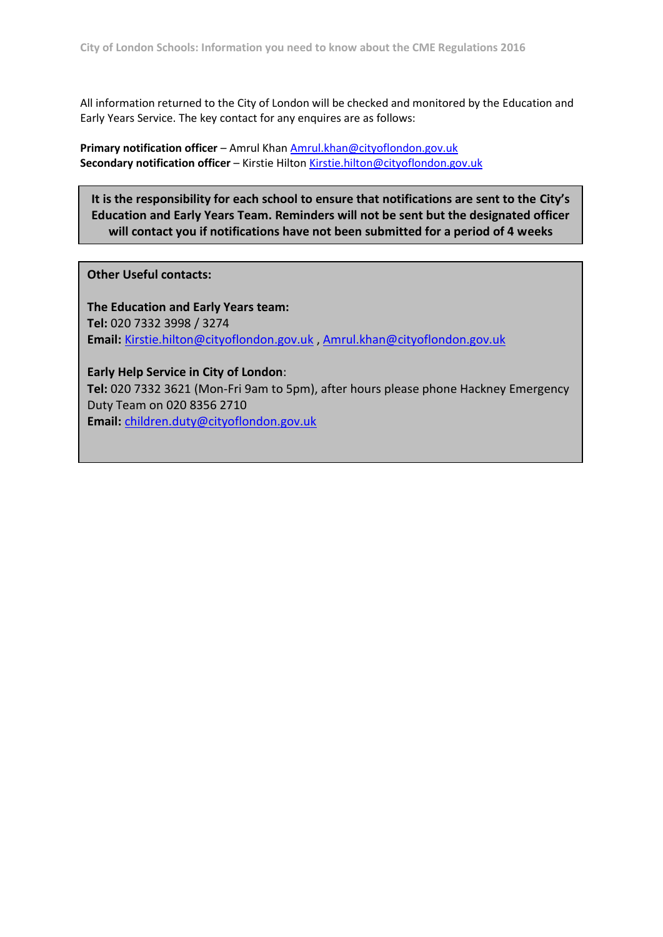All information returned to the City of London will be checked and monitored by the Education and Early Years Service. The key contact for any enquires are as follows:

**Primary notification officer** – Amrul Kha[n Amrul.khan@cityoflondon.gov.uk](mailto:Amrul.khan@cityoflondon.gov.uk) **Secondary notification officer** – Kirstie Hilton [Kirstie.hilton@cityoflondon.gov.uk](mailto:Kirstie.hilton@cityoflondon.gov.uk)

**It is the responsibility for each school to ensure that notifications are sent to the City's Education and Early Years Team. Reminders will not be sent but the designated officer will contact you if notifications have not been submitted for a period of 4 weeks**

**Other Useful contacts:** 

**The Education and Early Years team: Tel:** 020 7332 3998 / 3274 **Email:** [Kirstie.hilton@cityoflondon.gov.uk](mailto:Kirstie.hilton@cityoflondon.gov.uk) , [Amrul.khan@cityoflondon.gov.uk](mailto:Amrul.khan@cityoflondon.gov.uk)

**Early Help Service in City of London**: **Tel:** 020 7332 3621 (Mon-Fri 9am to 5pm), after hours please phone Hackney Emergency Duty Team on 020 8356 2710 **Email:** [children.duty@cityoflondon.gov.uk](mailto:children.duty@cityoflondon.gov.uk)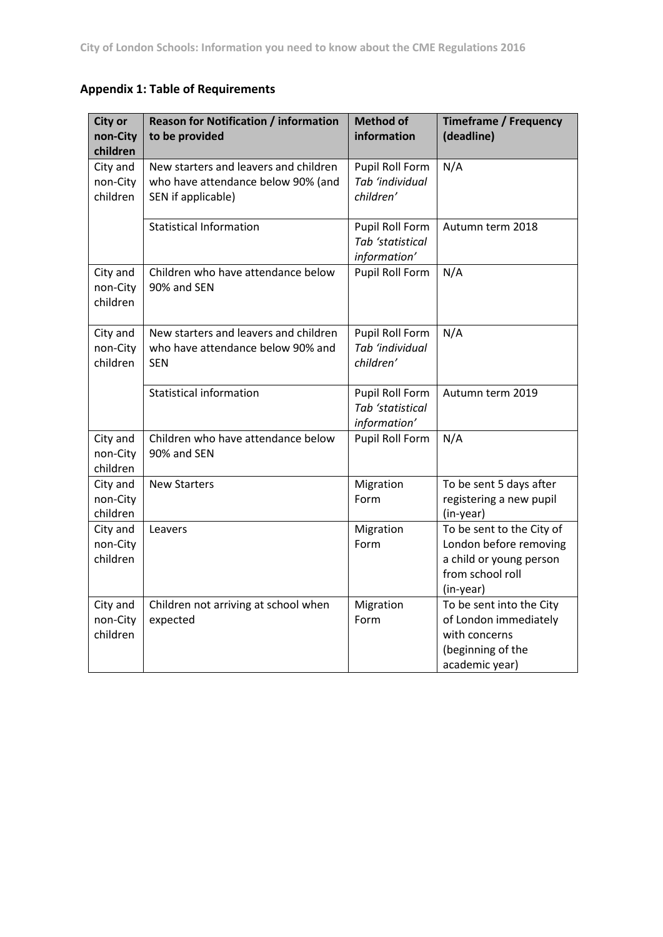# **Appendix 1: Table of Requirements**

| <b>City or</b><br>non-City<br>children | <b>Reason for Notification / information</b><br>to be provided                                    | <b>Method of</b><br>information                     | <b>Timeframe / Frequency</b><br>(deadline)                                                                      |
|----------------------------------------|---------------------------------------------------------------------------------------------------|-----------------------------------------------------|-----------------------------------------------------------------------------------------------------------------|
| City and<br>non-City<br>children       | New starters and leavers and children<br>who have attendance below 90% (and<br>SEN if applicable) | Pupil Roll Form<br>Tab 'individual<br>children'     | N/A                                                                                                             |
|                                        | <b>Statistical Information</b>                                                                    | Pupil Roll Form<br>Tab 'statistical<br>information' | Autumn term 2018                                                                                                |
| City and<br>non-City<br>children       | Children who have attendance below<br>90% and SEN                                                 | Pupil Roll Form                                     | N/A                                                                                                             |
| City and<br>non-City<br>children       | New starters and leavers and children<br>who have attendance below 90% and<br><b>SEN</b>          | Pupil Roll Form<br>Tab 'individual<br>children'     | N/A                                                                                                             |
|                                        | <b>Statistical information</b>                                                                    | Pupil Roll Form<br>Tab 'statistical<br>information' | Autumn term 2019                                                                                                |
| City and<br>non-City<br>children       | Children who have attendance below<br>90% and SEN                                                 | Pupil Roll Form                                     | N/A                                                                                                             |
| City and<br>non-City<br>children       | <b>New Starters</b>                                                                               | Migration<br>Form                                   | To be sent 5 days after<br>registering a new pupil<br>(in-year)                                                 |
| City and<br>non-City<br>children       | Leavers                                                                                           | Migration<br>Form                                   | To be sent to the City of<br>London before removing<br>a child or young person<br>from school roll<br>(in-year) |
| City and<br>non-City<br>children       | Children not arriving at school when<br>expected                                                  | Migration<br>Form                                   | To be sent into the City<br>of London immediately<br>with concerns<br>(beginning of the<br>academic year)       |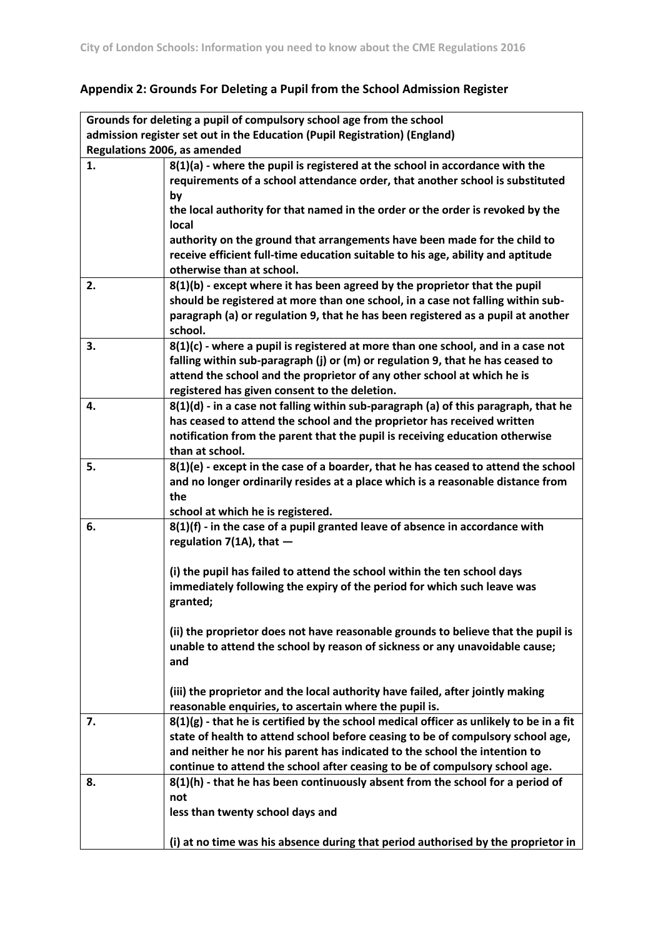# **Appendix 2: Grounds For Deleting a Pupil from the School Admission Register**

| Grounds for deleting a pupil of compulsory school age from the school |                                                                                           |  |  |  |  |
|-----------------------------------------------------------------------|-------------------------------------------------------------------------------------------|--|--|--|--|
|                                                                       | admission register set out in the Education (Pupil Registration) (England)                |  |  |  |  |
|                                                                       | Regulations 2006, as amended                                                              |  |  |  |  |
| 1.                                                                    | $8(1)(a)$ - where the pupil is registered at the school in accordance with the            |  |  |  |  |
|                                                                       | requirements of a school attendance order, that another school is substituted             |  |  |  |  |
|                                                                       | by                                                                                        |  |  |  |  |
|                                                                       | the local authority for that named in the order or the order is revoked by the            |  |  |  |  |
|                                                                       | local                                                                                     |  |  |  |  |
|                                                                       | authority on the ground that arrangements have been made for the child to                 |  |  |  |  |
|                                                                       | receive efficient full-time education suitable to his age, ability and aptitude           |  |  |  |  |
|                                                                       | otherwise than at school.                                                                 |  |  |  |  |
| 2.                                                                    | 8(1)(b) - except where it has been agreed by the proprietor that the pupil                |  |  |  |  |
|                                                                       | should be registered at more than one school, in a case not falling within sub-           |  |  |  |  |
|                                                                       | paragraph (a) or regulation 9, that he has been registered as a pupil at another          |  |  |  |  |
|                                                                       | school.                                                                                   |  |  |  |  |
| 3.                                                                    | $8(1)(c)$ - where a pupil is registered at more than one school, and in a case not        |  |  |  |  |
|                                                                       | falling within sub-paragraph (j) or (m) or regulation 9, that he has ceased to            |  |  |  |  |
|                                                                       | attend the school and the proprietor of any other school at which he is                   |  |  |  |  |
|                                                                       | registered has given consent to the deletion.                                             |  |  |  |  |
| 4.                                                                    | 8(1)(d) - in a case not falling within sub-paragraph (a) of this paragraph, that he       |  |  |  |  |
|                                                                       | has ceased to attend the school and the proprietor has received written                   |  |  |  |  |
|                                                                       | notification from the parent that the pupil is receiving education otherwise              |  |  |  |  |
|                                                                       | than at school.                                                                           |  |  |  |  |
| 5.                                                                    | $8(1)(e)$ - except in the case of a boarder, that he has ceased to attend the school      |  |  |  |  |
|                                                                       | and no longer ordinarily resides at a place which is a reasonable distance from           |  |  |  |  |
|                                                                       | the                                                                                       |  |  |  |  |
|                                                                       | school at which he is registered.                                                         |  |  |  |  |
| 6.                                                                    | $8(1)(f)$ - in the case of a pupil granted leave of absence in accordance with            |  |  |  |  |
|                                                                       | regulation $7(1A)$ , that $-$                                                             |  |  |  |  |
|                                                                       |                                                                                           |  |  |  |  |
|                                                                       | (i) the pupil has failed to attend the school within the ten school days                  |  |  |  |  |
|                                                                       | immediately following the expiry of the period for which such leave was                   |  |  |  |  |
|                                                                       | granted;                                                                                  |  |  |  |  |
|                                                                       | (ii) the proprietor does not have reasonable grounds to believe that the pupil is         |  |  |  |  |
|                                                                       | unable to attend the school by reason of sickness or any unavoidable cause;               |  |  |  |  |
|                                                                       | and                                                                                       |  |  |  |  |
|                                                                       |                                                                                           |  |  |  |  |
|                                                                       | (iii) the proprietor and the local authority have failed, after jointly making            |  |  |  |  |
|                                                                       | reasonable enquiries, to ascertain where the pupil is.                                    |  |  |  |  |
| 7.                                                                    | $8(1)(g)$ - that he is certified by the school medical officer as unlikely to be in a fit |  |  |  |  |
|                                                                       | state of health to attend school before ceasing to be of compulsory school age,           |  |  |  |  |
|                                                                       | and neither he nor his parent has indicated to the school the intention to                |  |  |  |  |
|                                                                       | continue to attend the school after ceasing to be of compulsory school age.               |  |  |  |  |
| 8.                                                                    | 8(1)(h) - that he has been continuously absent from the school for a period of            |  |  |  |  |
|                                                                       | not                                                                                       |  |  |  |  |
|                                                                       | less than twenty school days and                                                          |  |  |  |  |
|                                                                       |                                                                                           |  |  |  |  |
|                                                                       | (i) at no time was his absence during that period authorised by the proprietor in         |  |  |  |  |